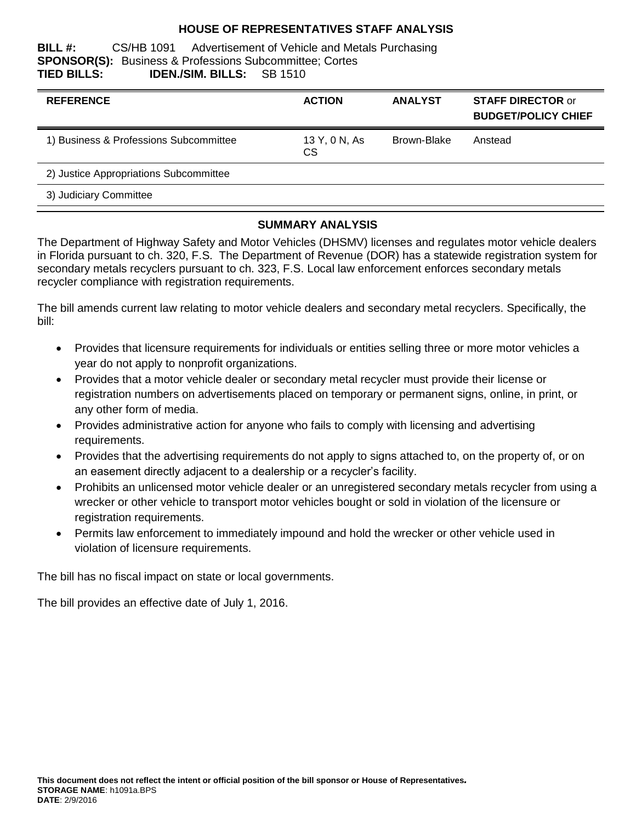#### **HOUSE OF REPRESENTATIVES STAFF ANALYSIS**

**BILL #:** CS/HB 1091 Advertisement of Vehicle and Metals Purchasing **SPONSOR(S):** Business & Professions Subcommittee; Cortes **TIED BILLS: IDEN./SIM. BILLS:** SB 1510

| <b>REFERENCE</b>                       | <b>ACTION</b>              | <b>ANALYST</b> | <b>STAFF DIRECTOR or</b><br><b>BUDGET/POLICY CHIEF</b> |
|----------------------------------------|----------------------------|----------------|--------------------------------------------------------|
| 1) Business & Professions Subcommittee | 13 Y, 0 N, As<br><b>CS</b> | Brown-Blake    | Anstead                                                |
| 2) Justice Appropriations Subcommittee |                            |                |                                                        |
| 3) Judiciary Committee                 |                            |                |                                                        |

#### **SUMMARY ANALYSIS**

The Department of Highway Safety and Motor Vehicles (DHSMV) licenses and regulates motor vehicle dealers in Florida pursuant to ch. 320, F.S. The Department of Revenue (DOR) has a statewide registration system for secondary metals recyclers pursuant to ch. 323, F.S. Local law enforcement enforces secondary metals recycler compliance with registration requirements.

The bill amends current law relating to motor vehicle dealers and secondary metal recyclers. Specifically, the bill:

- Provides that licensure requirements for individuals or entities selling three or more motor vehicles a year do not apply to nonprofit organizations.
- Provides that a motor vehicle dealer or secondary metal recycler must provide their license or registration numbers on advertisements placed on temporary or permanent signs, online, in print, or any other form of media.
- Provides administrative action for anyone who fails to comply with licensing and advertising requirements.
- Provides that the advertising requirements do not apply to signs attached to, on the property of, or on an easement directly adjacent to a dealership or a recycler's facility.
- Prohibits an unlicensed motor vehicle dealer or an unregistered secondary metals recycler from using a wrecker or other vehicle to transport motor vehicles bought or sold in violation of the licensure or registration requirements.
- Permits law enforcement to immediately impound and hold the wrecker or other vehicle used in violation of licensure requirements.

The bill has no fiscal impact on state or local governments.

The bill provides an effective date of July 1, 2016.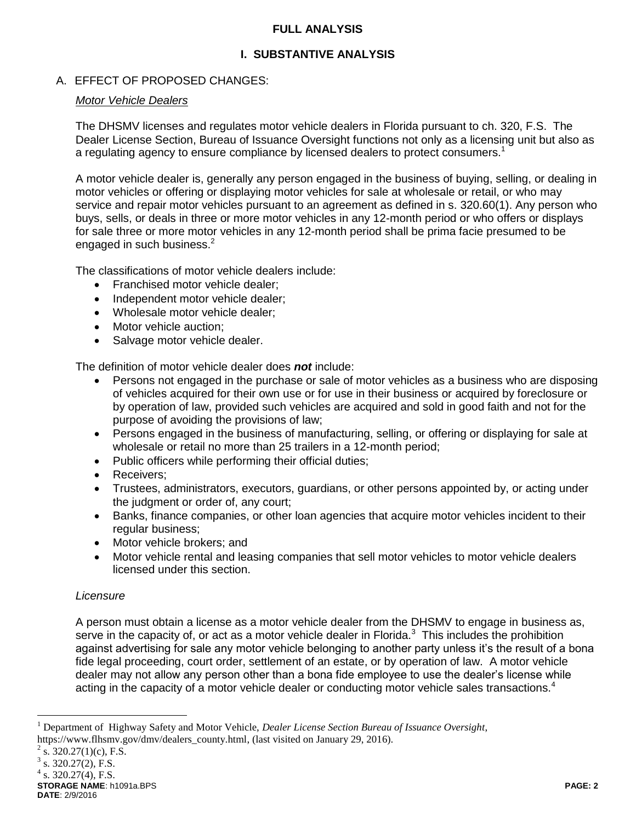### **FULL ANALYSIS**

# **I. SUBSTANTIVE ANALYSIS**

# A. EFFECT OF PROPOSED CHANGES:

#### *Motor Vehicle Dealers*

The DHSMV licenses and regulates motor vehicle dealers in Florida pursuant to ch. 320, F.S. The Dealer License Section, Bureau of Issuance Oversight functions not only as a licensing unit but also as a regulating agency to ensure compliance by licensed dealers to protect consumers.<sup>1</sup>

A motor vehicle dealer is, generally any person engaged in the business of buying, selling, or dealing in motor vehicles or offering or displaying motor vehicles for sale at wholesale or retail, or who may service and repair motor vehicles pursuant to an agreement as defined in s. 320.60(1). Any person who buys, sells, or deals in three or more motor vehicles in any 12-month period or who offers or displays for sale three or more motor vehicles in any 12-month period shall be prima facie presumed to be engaged in such business.<sup>2</sup>

The classifications of motor vehicle dealers include:

- Franchised motor vehicle dealer;
- Independent motor vehicle dealer:
- Wholesale motor vehicle dealer;
- Motor vehicle auction;
- Salvage motor vehicle dealer.

The definition of motor vehicle dealer does *not* include:

- Persons not engaged in the purchase or sale of motor vehicles as a business who are disposing of vehicles acquired for their own use or for use in their business or acquired by foreclosure or by operation of law, provided such vehicles are acquired and sold in good faith and not for the purpose of avoiding the provisions of law;
- Persons engaged in the business of manufacturing, selling, or offering or displaying for sale at wholesale or retail no more than 25 trailers in a 12-month period;
- Public officers while performing their official duties:
- Receivers;
- Trustees, administrators, executors, guardians, or other persons appointed by, or acting under the judgment or order of, any court;
- Banks, finance companies, or other loan agencies that acquire motor vehicles incident to their regular business;
- Motor vehicle brokers; and
- Motor vehicle rental and leasing companies that sell motor vehicles to motor vehicle dealers licensed under this section.

### *Licensure*

A person must obtain a license as a motor vehicle dealer from the DHSMV to engage in business as, serve in the capacity of, or act as a motor vehicle dealer in Florida.<sup>3</sup> This includes the prohibition against advertising for sale any motor vehicle belonging to another party unless it's the result of a bona fide legal proceeding, court order, settlement of an estate, or by operation of law. A motor vehicle dealer may not allow any person other than a bona fide employee to use the dealer's license while acting in the capacity of a motor vehicle dealer or conducting motor vehicle sales transactions.<sup>4</sup>

 $\overline{a}$ 

<sup>1</sup> Department of Highway Safety and Motor Vehicle, *Dealer License Section Bureau of Issuance Oversight*, https://www.flhsmv.gov/dmv/dealers\_county.html, (last visited on January 29, 2016).

 $2^2$  s. 320.27(1)(c), F.S.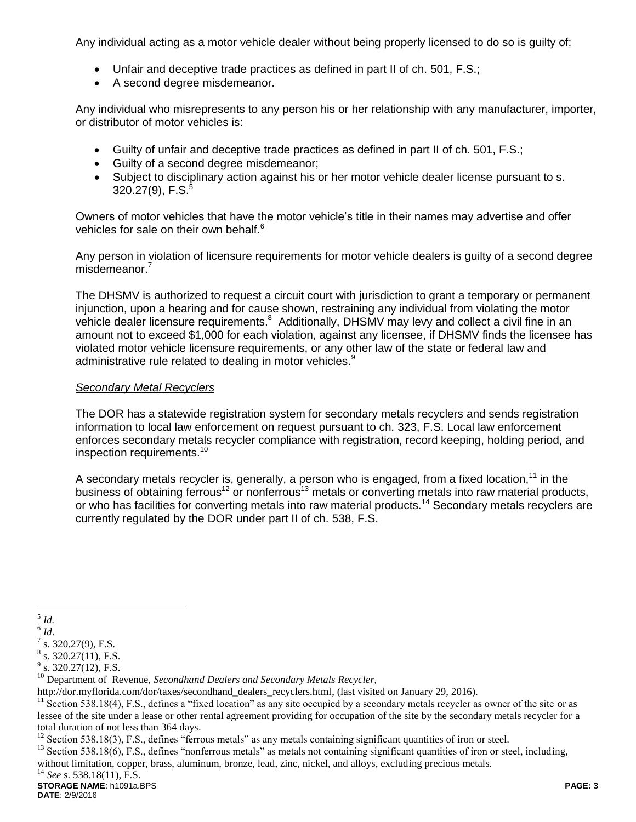Any individual acting as a motor vehicle dealer without being properly licensed to do so is guilty of:

- Unfair and deceptive trade practices as defined in part II of ch. 501, F.S.;
- A second degree misdemeanor.

Any individual who misrepresents to any person his or her relationship with any manufacturer, importer, or distributor of motor vehicles is:

- Guilty of unfair and deceptive trade practices as defined in part II of ch. 501, F.S.;
- Guilty of a second degree misdemeanor;
- Subject to disciplinary action against his or her motor vehicle dealer license pursuant to s. 320.27(9), F.S.<sup>5</sup>

Owners of motor vehicles that have the motor vehicle's title in their names may advertise and offer vehicles for sale on their own behalf.<sup>6</sup>

Any person in violation of licensure requirements for motor vehicle dealers is guilty of a second degree misdemeanor.<sup>7</sup>

The DHSMV is authorized to request a circuit court with jurisdiction to grant a temporary or permanent injunction, upon a hearing and for cause shown, restraining any individual from violating the motor vehicle dealer licensure requirements.<sup>8</sup> Additionally, DHSMV may levy and collect a civil fine in an amount not to exceed \$1,000 for each violation, against any licensee, if DHSMV finds the licensee has violated motor vehicle licensure requirements, or any other law of the state or federal law and administrative rule related to dealing in motor vehicles.<sup>9</sup>

#### *Secondary Metal Recyclers*

The DOR has a statewide registration system for secondary metals recyclers and sends registration information to local law enforcement on request pursuant to ch. 323, F.S. Local law enforcement enforces secondary metals recycler compliance with registration, record keeping, holding period, and inspection requirements. 10

A secondary metals recycler is, generally, a person who is engaged, from a fixed location,<sup>11</sup> in the business of obtaining ferrous<sup>12</sup> or nonferrous<sup>13</sup> metals or converting metals into raw material products, or who has facilities for converting metals into raw material products.<sup>14</sup> Secondary metals recyclers are currently regulated by the DOR under part II of ch. 538, F.S.

<sup>14</sup> *See* s. 538.18(11), F.S.

 $\frac{5}{5}$ *Id.* 

<sup>6</sup> *Id*.

 $7$  s. 320.27(9), F.S.

 $8$  s. 320.27(11), F.S.

 $9^9$  s. 320.27(12), F.S.

<sup>10</sup> Department of Revenue, *Secondhand Dealers and Secondary Metals Recycler*,

http://dor.myflorida.com/dor/taxes/secondhand\_dealers\_recyclers.html, (last visited on January 29, 2016).

 $11$  Section 538.18(4), F.S., defines a "fixed location" as any site occupied by a secondary metals recycler as owner of the site or as lessee of the site under a lease or other rental agreement providing for occupation of the site by the secondary metals recycler for a total duration of not less than 364 days.

 $12$  Section 538.18(3), F.S., defines "ferrous metals" as any metals containing significant quantities of iron or steel.

<sup>&</sup>lt;sup>13</sup> Section 538.18(6), F.S., defines "nonferrous metals" as metals not containing significant quantities of iron or steel, including, without limitation, copper, brass, aluminum, bronze, lead, zinc, nickel, and alloys, excluding precious metals.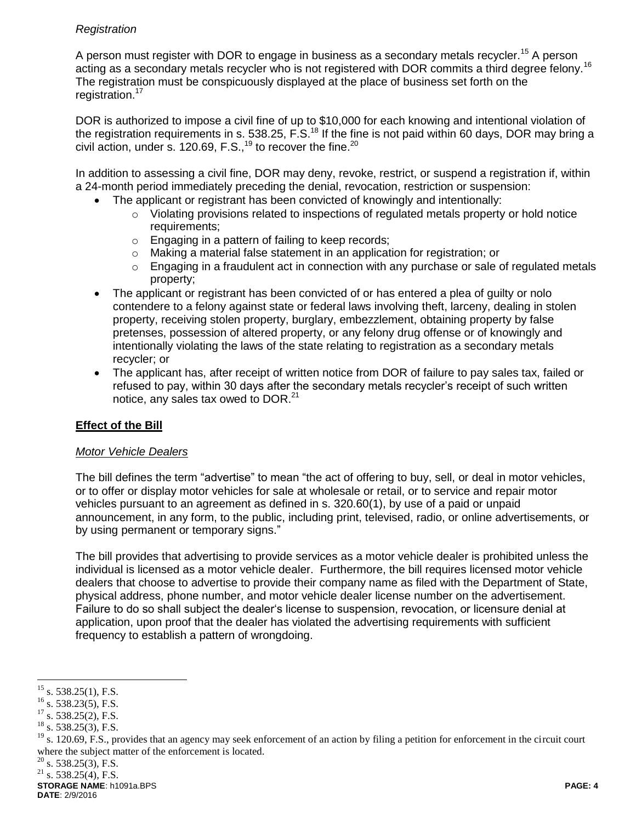## *Registration*

A person must register with DOR to engage in business as a secondary metals recycler.<sup>15</sup> A person acting as a secondary metals recycler who is not registered with DOR commits a third degree felony.<sup>16</sup> The registration must be conspicuously displayed at the place of business set forth on the registration.<sup>17</sup>

DOR is authorized to impose a civil fine of up to \$10,000 for each knowing and intentional violation of the registration requirements in s. 538.25, F.S.<sup>18</sup> If the fine is not paid within 60 days, DOR may bring a civil action, under s. 120.69, F.S.,  $19$  to recover the fine.  $20$ 

In addition to assessing a civil fine, DOR may deny, revoke, restrict, or suspend a registration if, within a 24-month period immediately preceding the denial, revocation, restriction or suspension:

- The applicant or registrant has been convicted of knowingly and intentionally:
	- $\circ$  Violating provisions related to inspections of regulated metals property or hold notice requirements;
	- o Engaging in a pattern of failing to keep records;
	- o Making a material false statement in an application for registration; or
	- $\circ$  Engaging in a fraudulent act in connection with any purchase or sale of regulated metals property;
- The applicant or registrant has been convicted of or has entered a plea of guilty or nolo contendere to a felony against state or federal laws involving theft, larceny, dealing in stolen property, receiving stolen property, burglary, embezzlement, obtaining property by false pretenses, possession of altered property, or any felony drug offense or of knowingly and intentionally violating the laws of the state relating to registration as a secondary metals recycler; or
- The applicant has, after receipt of written notice from DOR of failure to pay sales tax, failed or refused to pay, within 30 days after the secondary metals recycler's receipt of such written notice, any sales tax owed to DOR.<sup>21</sup>

# **Effect of the Bill**

### *Motor Vehicle Dealers*

The bill defines the term "advertise" to mean "the act of offering to buy, sell, or deal in motor vehicles, or to offer or display motor vehicles for sale at wholesale or retail, or to service and repair motor vehicles pursuant to an agreement as defined in s. 320.60(1), by use of a paid or unpaid announcement, in any form, to the public, including print, televised, radio, or online advertisements, or by using permanent or temporary signs."

The bill provides that advertising to provide services as a motor vehicle dealer is prohibited unless the individual is licensed as a motor vehicle dealer. Furthermore, the bill requires licensed motor vehicle dealers that choose to advertise to provide their company name as filed with the Department of State, physical address, phone number, and motor vehicle dealer license number on the advertisement. Failure to do so shall subject the dealer's license to suspension, revocation, or licensure denial at application, upon proof that the dealer has violated the advertising requirements with sufficient frequency to establish a pattern of wrongdoing.

 $\overline{a}$ 

 $^{15}$  s. 538.25(1), F.S.

 $^{16}$  s. 538.23(5), F.S.

 $17$  s. 538.25(2), F.S.

 $18$  s. 538.25(3), F.S.

<sup>&</sup>lt;sup>19</sup> s. 120.69, F.S., provides that an agency may seek enforcement of an action by filing a petition for enforcement in the circuit court where the subject matter of the enforcement is located.

 $20$  s. 538.25(3), F.S.

 $^{21}$  s. 538.25(4), F.S.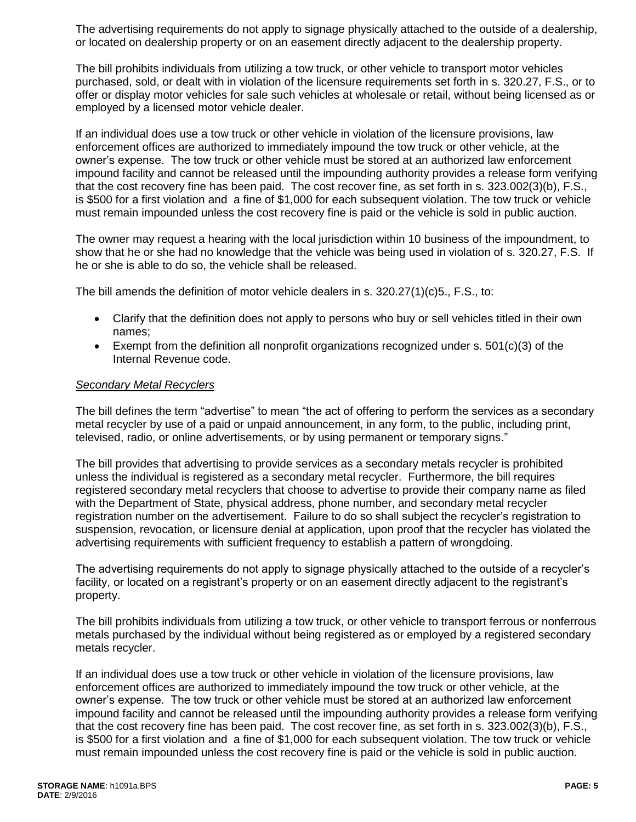The advertising requirements do not apply to signage physically attached to the outside of a dealership, or located on dealership property or on an easement directly adjacent to the dealership property.

The bill prohibits individuals from utilizing a tow truck, or other vehicle to transport motor vehicles purchased, sold, or dealt with in violation of the licensure requirements set forth in s. 320.27, F.S., or to offer or display motor vehicles for sale such vehicles at wholesale or retail, without being licensed as or employed by a licensed motor vehicle dealer.

If an individual does use a tow truck or other vehicle in violation of the licensure provisions, law enforcement offices are authorized to immediately impound the tow truck or other vehicle, at the owner's expense. The tow truck or other vehicle must be stored at an authorized law enforcement impound facility and cannot be released until the impounding authority provides a release form verifying that the cost recovery fine has been paid. The cost recover fine, as set forth in s. 323.002(3)(b), F.S., is \$500 for a first violation and a fine of \$1,000 for each subsequent violation. The tow truck or vehicle must remain impounded unless the cost recovery fine is paid or the vehicle is sold in public auction.

The owner may request a hearing with the local jurisdiction within 10 business of the impoundment, to show that he or she had no knowledge that the vehicle was being used in violation of s. 320.27, F.S. If he or she is able to do so, the vehicle shall be released.

The bill amends the definition of motor vehicle dealers in s. 320.27(1)(c)5., F.S., to:

- Clarify that the definition does not apply to persons who buy or sell vehicles titled in their own names;
- Exempt from the definition all nonprofit organizations recognized under s.  $501(c)(3)$  of the Internal Revenue code.

#### *Secondary Metal Recyclers*

The bill defines the term "advertise" to mean "the act of offering to perform the services as a secondary metal recycler by use of a paid or unpaid announcement, in any form, to the public, including print, televised, radio, or online advertisements, or by using permanent or temporary signs."

The bill provides that advertising to provide services as a secondary metals recycler is prohibited unless the individual is registered as a secondary metal recycler. Furthermore, the bill requires registered secondary metal recyclers that choose to advertise to provide their company name as filed with the Department of State, physical address, phone number, and secondary metal recycler registration number on the advertisement. Failure to do so shall subject the recycler's registration to suspension, revocation, or licensure denial at application, upon proof that the recycler has violated the advertising requirements with sufficient frequency to establish a pattern of wrongdoing.

The advertising requirements do not apply to signage physically attached to the outside of a recycler's facility, or located on a registrant's property or on an easement directly adjacent to the registrant's property.

The bill prohibits individuals from utilizing a tow truck, or other vehicle to transport ferrous or nonferrous metals purchased by the individual without being registered as or employed by a registered secondary metals recycler.

If an individual does use a tow truck or other vehicle in violation of the licensure provisions, law enforcement offices are authorized to immediately impound the tow truck or other vehicle, at the owner's expense. The tow truck or other vehicle must be stored at an authorized law enforcement impound facility and cannot be released until the impounding authority provides a release form verifying that the cost recovery fine has been paid. The cost recover fine, as set forth in s. 323.002(3)(b), F.S., is \$500 for a first violation and a fine of \$1,000 for each subsequent violation. The tow truck or vehicle must remain impounded unless the cost recovery fine is paid or the vehicle is sold in public auction.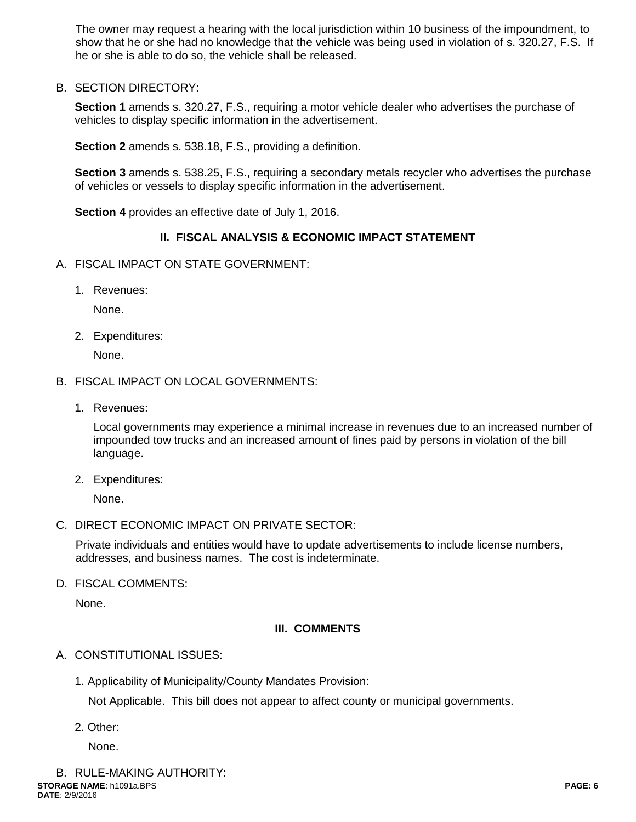The owner may request a hearing with the local jurisdiction within 10 business of the impoundment, to show that he or she had no knowledge that the vehicle was being used in violation of s. 320.27, F.S. If he or she is able to do so, the vehicle shall be released.

B. SECTION DIRECTORY:

**Section 1** amends s. 320.27, F.S., requiring a motor vehicle dealer who advertises the purchase of vehicles to display specific information in the advertisement.

**Section 2** amends s. 538.18, F.S., providing a definition.

**Section 3** amends s. 538.25, F.S., requiring a secondary metals recycler who advertises the purchase of vehicles or vessels to display specific information in the advertisement.

**Section 4** provides an effective date of July 1, 2016.

### **II. FISCAL ANALYSIS & ECONOMIC IMPACT STATEMENT**

- A. FISCAL IMPACT ON STATE GOVERNMENT:
	- 1. Revenues:

None.

2. Expenditures:

None.

- B. FISCAL IMPACT ON LOCAL GOVERNMENTS:
	- 1. Revenues:

Local governments may experience a minimal increase in revenues due to an increased number of impounded tow trucks and an increased amount of fines paid by persons in violation of the bill language.

2. Expenditures:

None.

C. DIRECT ECONOMIC IMPACT ON PRIVATE SECTOR:

Private individuals and entities would have to update advertisements to include license numbers, addresses, and business names. The cost is indeterminate.

D. FISCAL COMMENTS:

None.

# **III. COMMENTS**

- A. CONSTITUTIONAL ISSUES:
	- 1. Applicability of Municipality/County Mandates Provision:

Not Applicable. This bill does not appear to affect county or municipal governments.

2. Other:

None.